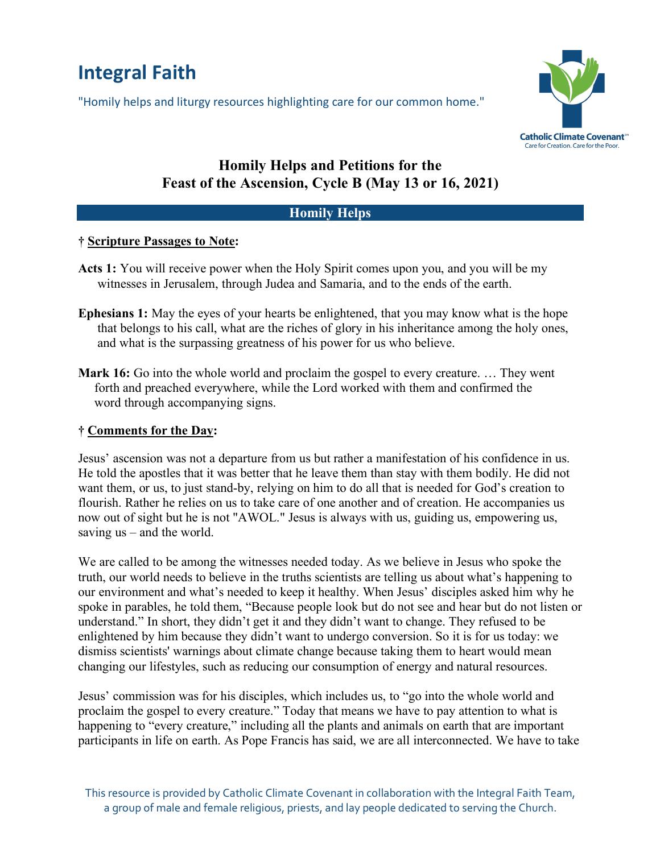# **Integral Faith**

"Homily helps and liturgy resources highlighting care for our common home."



## **Homily Helps and Petitions for the Feast of the Ascension, Cycle B (May 13 or 16, 2021)**

#### **Homily Helps**

#### **† Scripture Passages to Note:**

- **Acts 1:** You will receive power when the Holy Spirit comes upon you, and you will be my witnesses in Jerusalem, through Judea and Samaria, and to the ends of the earth.
- **Ephesians 1:** May the eyes of your hearts be enlightened, that you may know what is the hope that belongs to his call, what are the riches of glory in his inheritance among the holy ones, and what is the surpassing greatness of his power for us who believe.
- **Mark 16:** Go into the whole world and proclaim the gospel to every creature. … They went forth and preached everywhere, while the Lord worked with them and confirmed the word through accompanying signs.

#### **† Comments for the Day:**

Jesus' ascension was not a departure from us but rather a manifestation of his confidence in us. He told the apostles that it was better that he leave them than stay with them bodily. He did not want them, or us, to just stand-by, relying on him to do all that is needed for God's creation to flourish. Rather he relies on us to take care of one another and of creation. He accompanies us now out of sight but he is not "AWOL." Jesus is always with us, guiding us, empowering us, saving us – and the world.

We are called to be among the witnesses needed today. As we believe in Jesus who spoke the truth, our world needs to believe in the truths scientists are telling us about what's happening to our environment and what's needed to keep it healthy. When Jesus' disciples asked him why he spoke in parables, he told them, "Because people look but do not see and hear but do not listen or understand." In short, they didn't get it and they didn't want to change. They refused to be enlightened by him because they didn't want to undergo conversion. So it is for us today: we dismiss scientists' warnings about climate change because taking them to heart would mean changing our lifestyles, such as reducing our consumption of energy and natural resources.

Jesus' commission was for his disciples, which includes us, to "go into the whole world and proclaim the gospel to every creature." Today that means we have to pay attention to what is happening to "every creature," including all the plants and animals on earth that are important participants in life on earth. As Pope Francis has said, we are all interconnected. We have to take